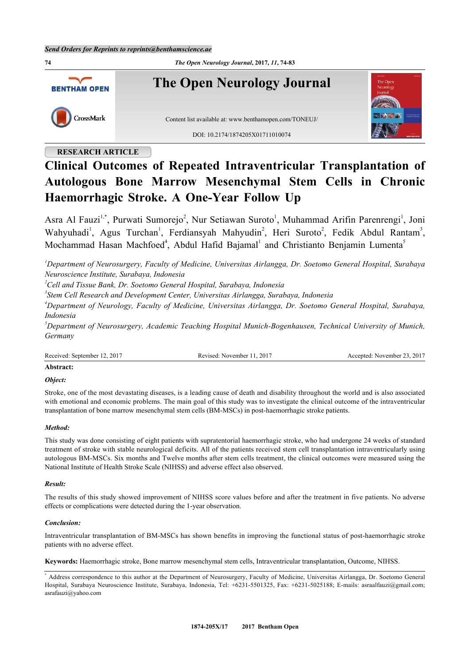**74** *The Open Neurology Journal***, 2017,** *11***, 74-83 The Open Neurology Journal BENTHAM OPEN** CrossMark Content list available at: [www.benthamopen.com/TONEUJ/](http://www.benthamopen.com/TONEUJ/) DOI: [10.2174/1874205X01711010074](http://dx.doi.org/10.2174/1874205X01711010074)

# **RESEARCH ARTICLE**

# **Clinical Outcomes of Repeated Intraventricular Transplantation of Autologous Bone Marrow Mesenchymal Stem Cells in Chronic Haemorrhagic Stroke. A One-Year Follow Up**

Asra Al Fauzi<sup>[1,](#page-0-0)[\\*](#page-0-1)</sup>, Purwati Sumorejo<sup>[2](#page-0-2)</sup>, Nur Setiawan Suroto<sup>[1](#page-0-0)</sup>, Muhammad Arifin Parenrengi<sup>1</sup>, Joni Wahyuhadi<sup>[1](#page-0-0)</sup>, Agus Turchan<sup>1</sup>, Ferdiansyah Mahyudin<sup>[2](#page-0-2)</sup>, Heri Suroto<sup>2</sup>, Fedik Abdul Rantam<sup>[3](#page-0-3)</sup>, Mochammad Hasan Machfoed<sup>[4](#page-0-4)</sup>, Abdul Hafid Bajamal<sup>[1](#page-0-0)</sup> and Christianto Benjamin Lumenta<sup>[5](#page-0-5)</sup>

<span id="page-0-0"></span>*<sup>1</sup>Department of Neurosurgery, Faculty of Medicine, Universitas Airlangga, Dr. Soetomo General Hospital, Surabaya Neuroscience Institute, Surabaya, Indonesia*

<span id="page-0-2"></span>*<sup>2</sup>Cell and Tissue Bank, Dr. Soetomo General Hospital, Surabaya, Indonesia*

<span id="page-0-3"></span>*3 Stem Cell Research and Development Center, Universitas Airlangga, Surabaya, Indonesia*

<span id="page-0-4"></span>*<sup>4</sup>Department of Neurology, Faculty of Medicine, Universitas Airlangga, Dr. Soetomo General Hospital, Surabaya, Indonesia*

<span id="page-0-5"></span>*<sup>5</sup>Department of Neurosurgery, Academic Teaching Hospital Munich-Bogenhausen, Technical University of Munich, Germany*

Revised: November 11, 2017 Accepted: November 23, 2017

# **Abstract:**

*Object:*

Stroke, one of the most devastating diseases, is a leading cause of death and disability throughout the world and is also associated with emotional and economic problems. The main goal of this study was to investigate the clinical outcome of the intraventricular transplantation of bone marrow mesenchymal stem cells (BM-MSCs) in post-haemorrhagic stroke patients.

#### *Method:*

This study was done consisting of eight patients with supratentorial haemorrhagic stroke, who had undergone 24 weeks of standard treatment of stroke with stable neurological deficits. All of the patients received stem cell transplantation intraventricularly using autologous BM-MSCs. Six months and Twelve months after stem cells treatment, the clinical outcomes were measured using the National Institute of Health Stroke Scale (NIHSS) and adverse effect also observed.

#### *Result:*

The results of this study showed improvement of NIHSS score values before and after the treatment in five patients. No adverse effects or complications were detected during the 1-year observation.

#### *Conclusion:*

Intraventricular transplantation of BM-MSCs has shown benefits in improving the functional status of post-haemorrhagic stroke patients with no adverse effect.

**Keywords:** Haemorrhagic stroke, Bone marrow mesenchymal stem cells, Intraventricular transplantation, Outcome, NIHSS.

<span id="page-0-1"></span><sup>\*</sup> Address correspondence to this author at the Department of Neurosurgery, Faculty of Medicine, Universitas Airlangga, Dr. Soetomo General Hospital, Surabaya Neuroscience Institute, Surabaya, Indonesia, Tel: +6231-5501325, Fax: +6231-5025188; E-mails: [asraalfauzi@gmail.com](mailto:asraalfauzi@gmail.com); [asrafauzi@yahoo.com](mailto:asrafauzi@yahoo.com)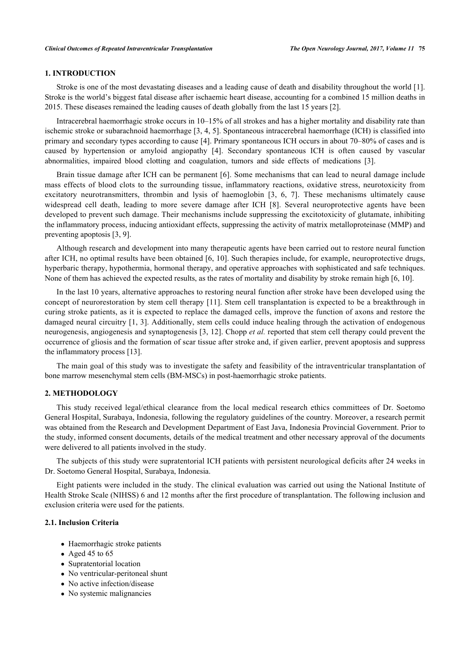# **1. INTRODUCTION**

Stroke is one of the most devastating diseases and a leading cause of death and disability throughout the world [[1\]](#page-7-0). Stroke is the world's biggest fatal disease after ischaemic heart disease, accounting for a combined 15 million deaths in 2015. These diseases remained the leading causes of death globally from the last 15 years [\[2](#page-7-1)].

Intracerebral haemorrhagic stroke occurs in 10–15% of all strokes and has a higher mortality and disability rate than ischemic stroke or subarachnoid haemorrhage [[3,](#page-7-2) [4,](#page-7-3) [5](#page-7-4)]. Spontaneous intracerebral haemorrhage (ICH) is classified into primary and secondary types according to cause [\[4\]](#page-7-3). Primary spontaneous ICH occurs in about 70–80% of cases and is caused by hypertension or amyloid angiopathy[[4\]](#page-7-3). Secondary spontaneous ICH is often caused by vascular abnormalities, impaired blood clotting and coagulation, tumors and side effects of medications [\[3](#page-7-2)].

Brain tissue damage after ICH can be permanent [\[6\]](#page-7-5). Some mechanisms that can lead to neural damage include mass effects of blood clots to the surrounding tissue, inflammatory reactions, oxidative stress, neurotoxicity from excitatory neurotransmitters, thrombin and lysis of haemoglobin [\[3](#page-7-2), [6,](#page-7-5) [7\]](#page-7-6). These mechanisms ultimately cause widespread cell death, leading to more severe damage after ICH[[8](#page-7-7)]. Several neuroprotective agents have been developed to prevent such damage. Their mechanisms include suppressing the excitotoxicity of glutamate, inhibiting the inflammatory process, inducing antioxidant effects, suppressing the activity of matrix metalloproteinase (MMP) and preventing apoptosis [[3,](#page-7-2) [9\]](#page-7-8).

Although research and development into many therapeutic agents have been carried out to restore neural function after ICH, no optimal results have been obtained [[6,](#page-7-5) [10](#page--1-0)]. Such therapies include, for example, neuroprotective drugs, hyperbaric therapy, hypothermia, hormonal therapy, and operative approaches with sophisticated and safe techniques. None of them has achieved the expected results, as the rates of mortality and disability by stroke remain high [[6,](#page-7-5) [10\]](#page-8-0).

In the last 10 years, alternative approaches to restoring neural function after stroke have been developed using the concept of neurorestoration by stem cell therapy [\[11\]](#page-8-1). Stem cell transplantation is expected to be a breakthrough in curing stroke patients, as it is expected to replace the damaged cells, improve the function of axons and restore the damaged neural circuitry [[1,](#page-7-0) [3\]](#page-7-2). Additionally, stem cells could induce healing through the activation of endogenous neurogenesis, angiogenesis and synaptogenesis [\[3](#page-7-2), [12\]](#page-8-2). Chopp *et al.* reported that stem cell therapy could prevent the occurrence of gliosis and the formation of scar tissue after stroke and, if given earlier, prevent apoptosis and suppress the inflammatory process [\[13](#page-8-3)].

The main goal of this study was to investigate the safety and feasibility of the intraventricular transplantation of bone marrow mesenchymal stem cells (BM-MSCs) in post-haemorrhagic stroke patients.

# **2. METHODOLOGY**

This study received legal/ethical clearance from the local medical research ethics committees of Dr. Soetomo General Hospital, Surabaya, Indonesia, following the regulatory guidelines of the country. Moreover, a research permit was obtained from the Research and Development Department of East Java, Indonesia Provincial Government. Prior to the study, informed consent documents, details of the medical treatment and other necessary approval of the documents were delivered to all patients involved in the study.

The subjects of this study were supratentorial ICH patients with persistent neurological deficits after 24 weeks in Dr. Soetomo General Hospital, Surabaya, Indonesia.

Eight patients were included in the study. The clinical evaluation was carried out using the National Institute of Health Stroke Scale (NIHSS) 6 and 12 months after the first procedure of transplantation. The following inclusion and exclusion criteria were used for the patients.

# **2.1. Inclusion Criteria**

- Haemorrhagic stroke patients
- Aged 45 to  $65$
- Supratentorial location
- No ventricular-peritoneal shunt
- No active infection/disease
- No systemic malignancies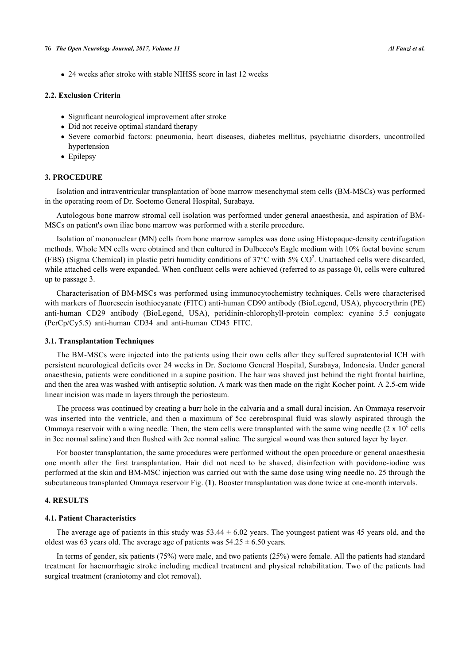24 weeks after stroke with stable NIHSS score in last 12 weeks

#### **2.2. Exclusion Criteria**

- Significant neurological improvement after stroke
- Did not receive optimal standard therapy
- Severe comorbid factors: pneumonia, heart diseases, diabetes mellitus, psychiatric disorders, uncontrolled hypertension
- Epilepsy

## **3. PROCEDURE**

Isolation and intraventricular transplantation of bone marrow mesenchymal stem cells (BM-MSCs) was performed in the operating room of Dr. Soetomo General Hospital, Surabaya.

Autologous bone marrow stromal cell isolation was performed under general anaesthesia, and aspiration of BM-MSCs on patient's own iliac bone marrow was performed with a sterile procedure.

Isolation of mononuclear (MN) cells from bone marrow samples was done using Histopaque-density centrifugation methods. Whole MN cells were obtained and then cultured in Dulbecco's Eagle medium with 10% foetal bovine serum (FBS) (Sigma Chemical) in plastic petri humidity conditions of  $37^{\circ}$ C with  $5\%$  CO<sup>2</sup>. Unattached cells were discarded, while attached cells were expanded. When confluent cells were achieved (referred to as passage 0), cells were cultured up to passage 3.

Characterisation of BM-MSCs was performed using immunocytochemistry techniques. Cells were characterised with markers of fluorescein isothiocyanate (FITC) anti-human CD90 antibody (BioLegend, USA), phycoerythrin (PE) anti-human CD29 antibody (BioLegend, USA), peridinin-chlorophyll-protein complex: cyanine 5.5 conjugate (PerCp/Cy5.5) anti-human CD34 and anti-human CD45 FITC.

#### **3.1. Transplantation Techniques**

The BM-MSCs were injected into the patients using their own cells after they suffered supratentorial ICH with persistent neurological deficits over 24 weeks in Dr. Soetomo General Hospital, Surabaya, Indonesia. Under general anaesthesia, patients were conditioned in a supine position. The hair was shaved just behind the right frontal hairline, and then the area was washed with antiseptic solution. A mark was then made on the right Kocher point. A 2.5-cm wide linear incision was made in layers through the periosteum.

The process was continued by creating a burr hole in the calvaria and a small dural incision. An Ommaya reservoir was inserted into the ventricle, and then a maximum of 5cc cerebrospinal fluid was slowly aspirated through the Ommaya reservoir with a wing needle. Then, the stem cells were transplanted with the same wing needle  $(2 \times 10^6 \text{ cells})$ in 3cc normal saline) and then flushed with 2cc normal saline. The surgical wound was then sutured layer by layer.

For booster transplantation, the same procedures were performed without the open procedure or general anaesthesia one month after the first transplantation. Hair did not need to be shaved, disinfection with povidone-iodine was performed at the skin and BM-MSC injection was carried out with the same dose using wing needle no. 25 through the subcutaneous transplanted Ommaya reservoir Fig. (**[1](#page-2-0)**). Booster transplantation was done twice at one-month intervals.

## **4. RESULTS**

#### **4.1. Patient Characteristics**

The average age of patients in this study was  $53.44 \pm 6.02$  years. The youngest patient was 45 years old, and the oldest was 63 years old. The average age of patients was  $54.25 \pm 6.50$  years.

<span id="page-2-0"></span>In terms of gender, six patients (75%) were male, and two patients (25%) were female. All the patients had standard treatment for haemorrhagic stroke including medical treatment and physical rehabilitation. Two of the patients had surgical treatment (craniotomy and clot removal).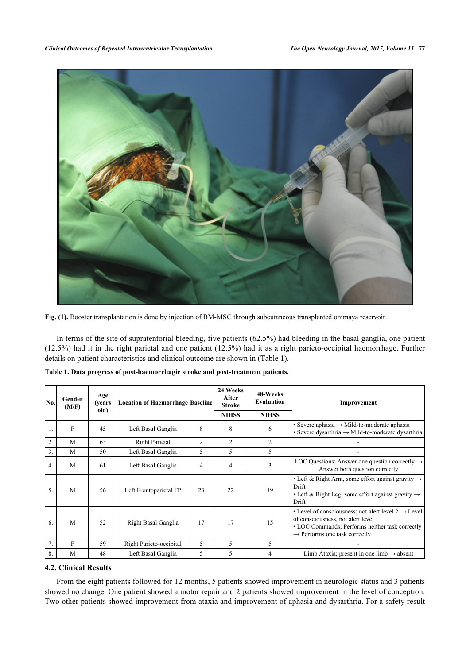

**Fig. (1).** Booster transplantation is done by injection of BM-MSC through subcutaneous transplanted ommaya reservoir.

In terms of the site of supratentorial bleeding, five patients (62.5%) had bleeding in the basal ganglia, one patient (12.5%) had it in the right parietal and one patient (12.5%) had it as a right parieto-occipital haemorrhage. Further details on patient characteristics and clinical outcome are shown in (Table **[1](#page-3-0)**).

| No.              | Gender<br>(M/F) | Age<br>(years)<br>old) | <b>Location of Haemorrhage Baseline</b> |                | 24 Weeks<br>After<br>Stroke<br><b>NIHSS</b> | 48-Weeks<br>Evaluation<br><b>NIHSS</b> | Improvement                                                                                                                                                                                            |
|------------------|-----------------|------------------------|-----------------------------------------|----------------|---------------------------------------------|----------------------------------------|--------------------------------------------------------------------------------------------------------------------------------------------------------------------------------------------------------|
|                  | F               | 45                     | Left Basal Ganglia                      | 8              | 8                                           | 6                                      | $\bullet$ Severe aphasia $\rightarrow$ Mild-to-moderate aphasia<br>$\bullet$ Severe dysarthria $\rightarrow$ Mild-to-moderate dysarthria                                                               |
| $\overline{2}$ . | M               | 63                     | <b>Right Parietal</b>                   | $\overline{2}$ | 2                                           | 2                                      |                                                                                                                                                                                                        |
| 3.               | M               | 50                     | Left Basal Ganglia                      | 5              | 5                                           | 5                                      |                                                                                                                                                                                                        |
| 4.               | M               | 61                     | Left Basal Ganglia                      | 4              | $\overline{4}$                              | 3                                      | LOC Questions; Answer one question correctly $\rightarrow$<br>Answer both question correctly                                                                                                           |
| 5.               | M               | 56                     | Left Frontoparietal FP                  | 23             | 22                                          | 19                                     | • Left & Right Arm, some effort against gravity $\rightarrow$<br>Drift<br>• Left & Right Leg, some effort against gravity $\rightarrow$<br>Drift                                                       |
| 6.               | M               | 52                     | Right Basal Ganglia                     | 17             | 17                                          | 15                                     | • Level of consciousness; not alert level $2 \rightarrow$ Level<br>of consciousness, not alert level 1<br>• LOC Commands; Performs neither task correctly<br>$\rightarrow$ Performs one task correctly |
| 7.               | F               | 59                     | Right Parieto-occipital                 | 5              | 5                                           | 5                                      |                                                                                                                                                                                                        |
| 8.               | M               | 48                     | Left Basal Ganglia                      | 5              | 5                                           | 4                                      | Limb Ataxia; present in one limb $\rightarrow$ absent                                                                                                                                                  |

<span id="page-3-0"></span>**Table 1. Data progress of post-haemorrhagic stroke and post-treatment patients.**

# **4.2. Clinical Results**

From the eight patients followed for 12 months, 5 patients showed improvement in neurologic status and 3 patients showed no change. One patient showed a motor repair and 2 patients showed improvement in the level of conception. Two other patients showed improvement from ataxia and improvement of aphasia and dysarthria. For a safety result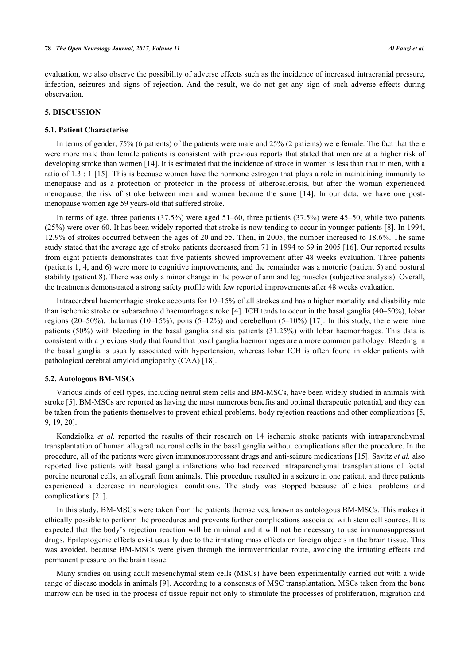evaluation, we also observe the possibility of adverse effects such as the incidence of increased intracranial pressure, infection, seizures and signs of rejection. And the result, we do not get any sign of such adverse effects during observation.

#### **5. DISCUSSION**

#### **5.1. Patient Characterise**

In terms of gender, 75% (6 patients) of the patients were male and 25% (2 patients) were female. The fact that there were more male than female patients is consistent with previous reports that stated that men are at a higher risk of developing stroke than women [[14](#page-8-4)]. It is estimated that the incidence of stroke in women is less than that in men, with a ratio of 1.3 : 1 [[15](#page-8-5)]. This is because women have the hormone estrogen that plays a role in maintaining immunity to menopause and as a protection or protector in the process of atherosclerosis, but after the woman experienced menopause, the risk of stroke between men and women became the same[[14\]](#page-8-4). In our data, we have one postmenopause women age 59 years-old that suffered stroke.

In terms of age, three patients (37.5%) were aged 51–60, three patients (37.5%) were 45–50, while two patients (25%) were over 60. It has been widely reported that stroke is now tending to occur in younger patients [\[8\]](#page-7-7). In 1994, 12.9% of strokes occurred between the ages of 20 and 55. Then, in 2005, the number increased to 18.6%. The same study stated that the average age of stroke patients decreased from 71 in 1994 to 69 in 2005 [[16](#page-8-6)]. Our reported results from eight patients demonstrates that five patients showed improvement after 48 weeks evaluation. Three patients (patients 1, 4, and 6) were more to cognitive improvements, and the remainder was a motoric (patient 5) and postural stability (patient 8). There was only a minor change in the power of arm and leg muscles (subjective analysis). Overall, the treatments demonstrated a strong safety profile with few reported improvements after 48 weeks evaluation.

Intracerebral haemorrhagic stroke accounts for 10–15% of all strokes and has a higher mortality and disability rate than ischemic stroke or subarachnoid haemorrhage stroke [[4](#page-7-3)]. ICH tends to occur in the basal ganglia (40–50%), lobar regions (20–50%), thalamus (10–15%), pons (5–12%) and cerebellum (5–10%) [[17\]](#page-8-7). In this study, there were nine patients (50%) with bleeding in the basal ganglia and six patients (31.25%) with lobar haemorrhages. This data is consistent with a previous study that found that basal ganglia haemorrhages are a more common pathology. Bleeding in the basal ganglia is usually associated with hypertension, whereas lobar ICH is often found in older patients with pathological cerebral amyloid angiopathy (CAA) [\[18](#page-8-8)].

#### **5.2. Autologous BM-MSCs**

Various kinds of cell types, including neural stem cells and BM-MSCs, have been widely studied in animals with stroke [[5](#page-7-4)]. BM-MSCs are reported as having the most numerous benefits and optimal therapeutic potential, and they can be taken from the patients themselves to prevent ethical problems, body rejection reactions and other complications [\[5](#page-7-4), [9,](#page-7-8) [19,](#page-8-9) [20\]](#page-8-10).

Kondziolka *et al.* reported the results of their research on 14 ischemic stroke patients with intraparenchymal transplantation of human allograft neuronal cells in the basal ganglia without complications after the procedure. In the procedure, all of the patients were given immunosuppressant drugs and anti-seizure medications [[15\]](#page-8-5). Savitz *et al.* also reported five patients with basal ganglia infarctions who had received intraparenchymal transplantations of foetal porcine neuronal cells, an allograft from animals. This procedure resulted in a seizure in one patient, and three patients experienced a decrease in neurological conditions. The study was stopped because of ethical problems and complications[[21\]](#page-8-11).

In this study, BM-MSCs were taken from the patients themselves, known as autologous BM-MSCs. This makes it ethically possible to perform the procedures and prevents further complications associated with stem cell sources. It is expected that the body's rejection reaction will be minimal and it will not be necessary to use immunosuppressant drugs. Epileptogenic effects exist usually due to the irritating mass effects on foreign objects in the brain tissue. This was avoided, because BM-MSCs were given through the intraventricular route, avoiding the irritating effects and permanent pressure on the brain tissue.

Many studies on using adult mesenchymal stem cells (MSCs) have been experimentally carried out with a wide range of disease models in animals [[9\]](#page-7-8). According to a consensus of MSC transplantation, MSCs taken from the bone marrow can be used in the process of tissue repair not only to stimulate the processes of proliferation, migration and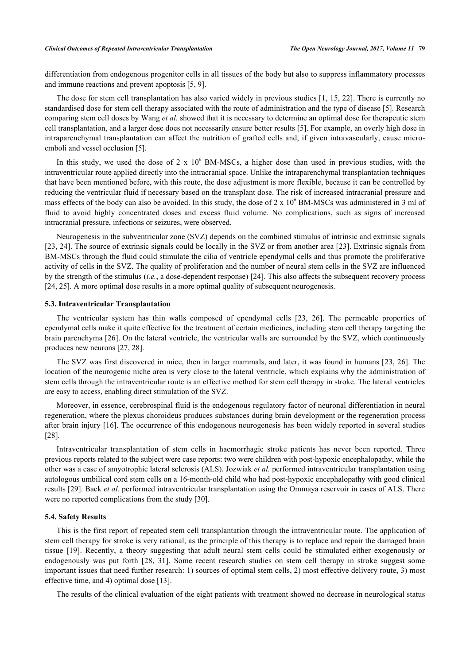differentiation from endogenous progenitor cells in all tissues of the body but also to suppress inflammatory processes and immune reactions and prevent apoptosis [[5,](#page-7-4) [9\]](#page-7-8).

The dose for stem cell transplantation has also varied widely in previous studies [[1,](#page-7-0) [15](#page-8-5), [22\]](#page-8-12). There is currently no standardised dose for stem cell therapy associated with the route of administration and the type of disease [\[5](#page-7-4)]. Research comparing stem cell doses by Wang *et al.* showed that it is necessary to determine an optimal dose for therapeutic stem cell transplantation, and a larger dose does not necessarily ensure better results [[5\]](#page-7-4). For example, an overly high dose in intraparenchymal transplantation can affect the nutrition of grafted cells and, if given intravascularly, cause microemboli and vessel occlusion [\[5](#page-7-4)].

In this study, we used the dose of 2 x  $10^6$  BM-MSCs, a higher dose than used in previous studies, with the intraventricular route applied directly into the intracranial space. Unlike the intraparenchymal transplantation techniques that have been mentioned before, with this route, the dose adjustment is more flexible, because it can be controlled by reducing the ventricular fluid if necessary based on the transplant dose. The risk of increased intracranial pressure and mass effects of the body can also be avoided. In this study, the dose of  $2 \times 10^6$  BM-MSCs was administered in 3 ml of fluid to avoid highly concentrated doses and excess fluid volume. No complications, such as signs of increased intracranial pressure, infections or seizures, were observed.

Neurogenesis in the subventricular zone (SVZ) depends on the combined stimulus of intrinsic and extrinsic signals [\[23](#page-8-13), [24\]](#page-8-14). The source of extrinsic signals could be locally in the SVZ or from another area [\[23](#page-8-13)]. Extrinsic signals from BM-MSCs through the fluid could stimulate the cilia of ventricle ependymal cells and thus promote the proliferative activity of cells in the SVZ. The quality of proliferation and the number of neural stem cells in the SVZ are influenced by the strength of the stimulus (*i.e.*, a dose-dependent response) [[24\]](#page-8-14). This also affects the subsequent recovery process [\[24](#page-8-14), [25](#page-8-15)]. A more optimal dose results in a more optimal quality of subsequent neurogenesis.

#### **5.3. Intraventricular Transplantation**

The ventricular system has thin walls composed of ependymal cells [\[23,](#page-8-13) [26](#page-8-16)]. The permeable properties of ependymal cells make it quite effective for the treatment of certain medicines, including stem cell therapy targeting the brain parenchyma [\[26](#page-8-16)]. On the lateral ventricle, the ventricular walls are surrounded by the SVZ, which continuously produces new neurons [[27,](#page-8-17) [28\]](#page-8-18).

The SVZ was first discovered in mice, then in larger mammals, and later, it was found in humans [\[23,](#page-8-13) [26\]](#page-8-16). The location of the neurogenic niche area is very close to the lateral ventricle, which explains why the administration of stem cells through the intraventricular route is an effective method for stem cell therapy in stroke. The lateral ventricles are easy to access, enabling direct stimulation of the SVZ.

Moreover, in essence, cerebrospinal fluid is the endogenous regulatory factor of neuronal differentiation in neural regeneration, where the plexus choroideus produces substances during brain development or the regeneration process after brain injury [\[16](#page-8-6)]. The occurrence of this endogenous neurogenesis has been widely reported in several studies [\[28](#page-8-18)].

Intraventricular transplantation of stem cells in haemorrhagic stroke patients has never been reported. Three previous reports related to the subject were case reports: two were children with post-hypoxic encephalopathy, while the other was a case of amyotrophic lateral sclerosis (ALS). Jozwiak *et al.* performed intraventricular transplantation using autologous umbilical cord stem cells on a 16-month-old child who had post-hypoxic encephalopathy with good clinical results [\[29](#page-8-19)]. Baek *et al.* performed intraventricular transplantation using the Ommaya reservoir in cases of ALS. There were no reported complications from the study [[30\]](#page-8-20).

#### **5.4. Safety Results**

This is the first report of repeated stem cell transplantation through the intraventricular route. The application of stem cell therapy for stroke is very rational, as the principle of this therapy is to replace and repair the damaged brain tissue[[19\]](#page-8-9). Recently, a theory suggesting that adult neural stem cells could be stimulated either exogenously or endogenously was put forth[[28](#page-8-18), [31](#page-8-21)]. Some recent research studies on stem cell therapy in stroke suggest some important issues that need further research: 1) sources of optimal stem cells, 2) most effective delivery route, 3) most effective time, and 4) optimal dose [[13\]](#page-8-3).

The results of the clinical evaluation of the eight patients with treatment showed no decrease in neurological status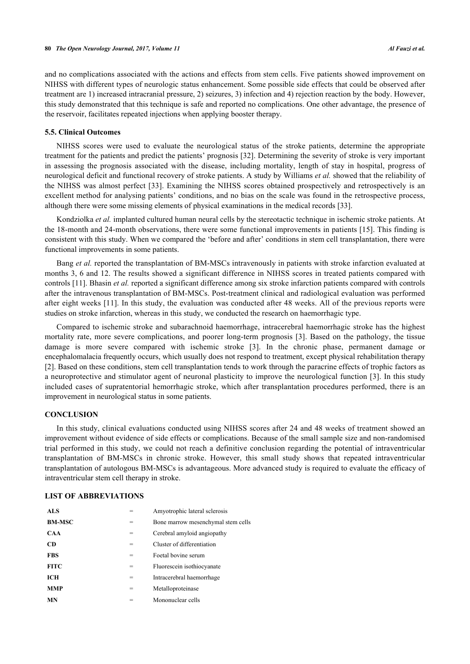and no complications associated with the actions and effects from stem cells. Five patients showed improvement on NIHSS with different types of neurologic status enhancement. Some possible side effects that could be observed after treatment are 1) increased intracranial pressure, 2) seizures, 3) infection and 4) rejection reaction by the body. However, this study demonstrated that this technique is safe and reported no complications. One other advantage, the presence of the reservoir, facilitates repeated injections when applying booster therapy.

#### **5.5. Clinical Outcomes**

NIHSS scores were used to evaluate the neurological status of the stroke patients, determine the appropriate treatment for the patients and predict the patients' prognosis [[32](#page-9-0)]. Determining the severity of stroke is very important in assessing the prognosis associated with the disease, including mortality, length of stay in hospital, progress of neurological deficit and functional recovery of stroke patients. A study by Williams *et al.* showed that the reliability of the NIHSS was almost perfect [[33\]](#page-9-1). Examining the NIHSS scores obtained prospectively and retrospectively is an excellent method for analysing patients' conditions, and no bias on the scale was found in the retrospective process, although there were some missing elements of physical examinations in the medical records [[33\]](#page-9-1).

Kondziolka *et al.* implanted cultured human neural cells by the stereotactic technique in ischemic stroke patients. At the 18-month and 24-month observations, there were some functional improvements in patients [[15](#page-8-5)]. This finding is consistent with this study. When we compared the 'before and after' conditions in stem cell transplantation, there were functional improvements in some patients.

Bang *et al.* reported the transplantation of BM-MSCs intravenously in patients with stroke infarction evaluated at months 3, 6 and 12. The results showed a significant difference in NIHSS scores in treated patients compared with controls [[11\]](#page-8-1). Bhasin *et al.* reported a significant difference among six stroke infarction patients compared with controls after the intravenous transplantation of BM-MSCs. Post-treatment clinical and radiological evaluation was performed after eight weeks [[11\]](#page-8-1). In this study, the evaluation was conducted after 48 weeks. All of the previous reports were studies on stroke infarction, whereas in this study, we conducted the research on haemorrhagic type.

Compared to ischemic stroke and subarachnoid haemorrhage, intracerebral haemorrhagic stroke has the highest mortality rate, more severe complications, and poorer long-term prognosis [[3](#page-7-2)]. Based on the pathology, the tissue damage is more severe compared with ischemic stroke [\[3\]](#page-7-2). In the chronic phase, permanent damage or encephalomalacia frequently occurs, which usually does not respond to treatment, except physical rehabilitation therapy [\[2](#page-7-1)]. Based on these conditions, stem cell transplantation tends to work through the paracrine effects of trophic factors as a neuroprotective and stimulator agent of neuronal plasticity to improve the neurological function [[3](#page-7-2)]. In this study included cases of supratentorial hemorrhagic stroke, which after transplantation procedures performed, there is an improvement in neurological status in some patients.

#### **CONCLUSION**

In this study, clinical evaluations conducted using NIHSS scores after 24 and 48 weeks of treatment showed an improvement without evidence of side effects or complications. Because of the small sample size and non-randomised trial performed in this study, we could not reach a definitive conclusion regarding the potential of intraventricular transplantation of BM-MSCs in chronic stroke. However, this small study shows that repeated intraventricular transplantation of autologous BM-MSCs is advantageous. More advanced study is required to evaluate the efficacy of intraventricular stem cell therapy in stroke.

# **LIST OF ABBREVIATIONS**

| ALS <sub></sub> |   | Amyotrophic lateral sclerosis      |
|-----------------|---|------------------------------------|
| <b>BM-MSC</b>   | = | Bone marrow mesenchymal stem cells |
| <b>CAA</b>      | = | Cerebral amyloid angiopathy        |
| <b>CD</b>       | = | Cluster of differentiation         |
| <b>FBS</b>      | = | Foetal bovine serum                |
| <b>FITC</b>     | = | Fluorescein isothiocyanate         |
| <b>ICH</b>      | = | Intracerebral haemorrhage          |
| <b>MMP</b>      | = | Metalloproteinase                  |
| <b>MN</b>       |   | Mononuclear cells                  |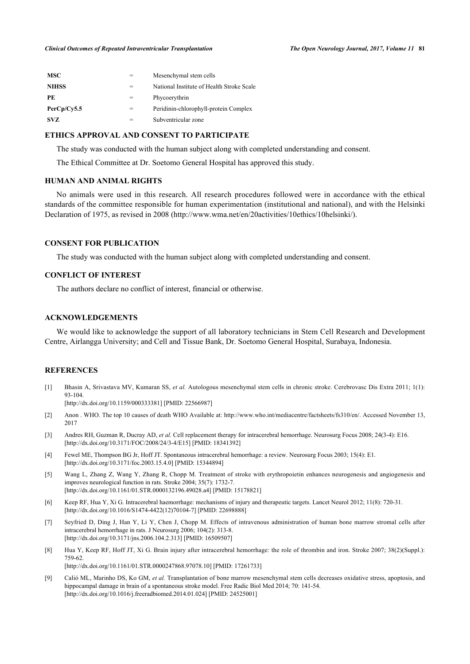| <b>MSC</b>   |     | Mesenchymal stem cells                    |
|--------------|-----|-------------------------------------------|
| <b>NIHSS</b> | $=$ | National Institute of Health Stroke Scale |
| PE           |     | Phycoerythrin                             |
| PerCp/Cy5.5  | $=$ | Peridinin-chlorophyll-protein Complex     |
| SVZ.         |     | Subventricular zone                       |

# **ETHICS APPROVAL AND CONSENT TO PARTICIPATE**

The study was conducted with the human subject along with completed understanding and consent.

The Ethical Committee at Dr. Soetomo General Hospital has approved this study.

# **HUMAN AND ANIMAL RIGHTS**

No animals were used in this research. All research procedures followed were in accordance with the ethical standards of the committee responsible for human experimentation (institutional and national), and with the Helsinki Declaration of 1975, as revised in 2008 ([http://www.wma.net/en/20activities/10ethics/10helsinki/\)](http://www.wma.net/en/20activities/10ethics/10helsinki/).

#### **CONSENT FOR PUBLICATION**

The study was conducted with the human subject along with completed understanding and consent.

# **CONFLICT OF INTEREST**

The authors declare no conflict of interest, financial or otherwise.

# **ACKNOWLEDGEMENTS**

We would like to acknowledge the support of all laboratory technicians in Stem Cell Research and Development Centre, Airlangga University; and Cell and Tissue Bank, Dr. Soetomo General Hospital, Surabaya, Indonesia.

#### **REFERENCES**

<span id="page-7-0"></span>[1] Bhasin A, Srivastava MV, Kumaran SS, *et al.* Autologous mesenchymal stem cells in chronic stroke. Cerebrovasc Dis Extra 2011; 1(1): 93-104.

[\[http://dx.doi.org/10.1159/000333381\]](http://dx.doi.org/10.1159/000333381) [PMID: [22566987](http://www.ncbi.nlm.nih.gov/pubmed/22566987)]

- <span id="page-7-1"></span>[2] Anon . WHO. The top 10 causes of death WHO Available at: <http://www.who.int/mediacentre/factsheets/fs310/en/>. Accessed November 13, 2017
- <span id="page-7-2"></span>[3] Andres RH, Guzman R, Ducray AD, *et al.* Cell replacement therapy for intracerebral hemorrhage. Neurosurg Focus 2008; 24(3-4): E16. [\[http://dx.doi.org/10.3171/FOC/2008/24/3-4/E15\]](http://dx.doi.org/10.3171/FOC/2008/24/3-4/E15) [PMID: [18341392](http://www.ncbi.nlm.nih.gov/pubmed/18341392)]
- <span id="page-7-3"></span>[4] Fewel ME, Thompson BG Jr, Hoff JT. Spontaneous intracerebral hemorrhage: a review. Neurosurg Focus 2003; 15(4): E1. [\[http://dx.doi.org/10.3171/foc.2003.15.4.0](http://dx.doi.org/10.3171/foc.2003.15.4.0)] [PMID: [15344894\]](http://www.ncbi.nlm.nih.gov/pubmed/15344894)
- <span id="page-7-4"></span>[5] Wang L, Zhang Z, Wang Y, Zhang R, Chopp M. Treatment of stroke with erythropoietin enhances neurogenesis and angiogenesis and improves neurological function in rats. Stroke 2004; 35(7): 1732-7. [\[http://dx.doi.org/10.1161/01.STR.0000132196.49028.a4](http://dx.doi.org/10.1161/01.STR.0000132196.49028.a4)] [PMID: [15178821\]](http://www.ncbi.nlm.nih.gov/pubmed/15178821)
- <span id="page-7-5"></span>[6] Keep RF, Hua Y, Xi G. Intracerebral haemorrhage: mechanisms of injury and therapeutic targets. Lancet Neurol 2012; 11(8): 720-31. [\[http://dx.doi.org/10.1016/S1474-4422\(12\)70104-7\]](http://dx.doi.org/10.1016/S1474-4422(12)70104-7) [PMID: [22698888](http://www.ncbi.nlm.nih.gov/pubmed/22698888)]
- <span id="page-7-6"></span>[7] Seyfried D, Ding J, Han Y, Li Y, Chen J, Chopp M. Effects of intravenous administration of human bone marrow stromal cells after intracerebral hemorrhage in rats. J Neurosurg 2006; 104(2): 313-8. [\[http://dx.doi.org/10.3171/jns.2006.104.2.313](http://dx.doi.org/10.3171/jns.2006.104.2.313)] [PMID: [16509507\]](http://www.ncbi.nlm.nih.gov/pubmed/16509507)
- <span id="page-7-7"></span>[8] Hua Y, Keep RF, Hoff JT, Xi G. Brain injury after intracerebral hemorrhage: the role of thrombin and iron. Stroke 2007; 38(2)(Suppl.): 759-62.

[\[http://dx.doi.org/10.1161/01.STR.0000247868.97078.10](http://dx.doi.org/10.1161/01.STR.0000247868.97078.10)] [PMID: [17261733](http://www.ncbi.nlm.nih.gov/pubmed/17261733)]

<span id="page-7-8"></span>[9] Calió ML, Marinho DS, Ko GM, *et al.* Transplantation of bone marrow mesenchymal stem cells decreases oxidative stress, apoptosis, and hippocampal damage in brain of a spontaneous stroke model. Free Radic Biol Med 2014; 70: 141-54. [\[http://dx.doi.org/10.1016/j.freeradbiomed.2014.01.024\]](http://dx.doi.org/10.1016/j.freeradbiomed.2014.01.024) [PMID: [24525001](http://www.ncbi.nlm.nih.gov/pubmed/24525001)]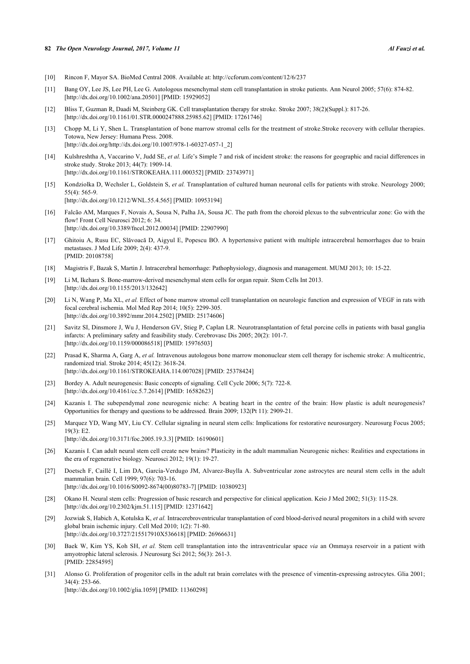#### **82** *The Open Neurology Journal, 2017, Volume 11 Al Fauzi et al.*

- <span id="page-8-0"></span>[10] Rincon F, Mayor SA. BioMed Central 2008. Available at: <http://ccforum.com/content/12/6/237>
- <span id="page-8-1"></span>[11] Bang OY, Lee JS, Lee PH, Lee G. Autologous mesenchymal stem cell transplantation in stroke patients. Ann Neurol 2005; 57(6): 874-82. [\[http://dx.doi.org/10.1002/ana.20501\]](http://dx.doi.org/10.1002/ana.20501) [PMID: [15929052](http://www.ncbi.nlm.nih.gov/pubmed/15929052)]
- <span id="page-8-2"></span>[12] Bliss T, Guzman R, Daadi M, Steinberg GK. Cell transplantation therapy for stroke. Stroke 2007; 38(2)(Suppl.): 817-26. [\[http://dx.doi.org/10.1161/01.STR.0000247888.25985.62](http://dx.doi.org/10.1161/01.STR.0000247888.25985.62)] [PMID: [17261746](http://www.ncbi.nlm.nih.gov/pubmed/17261746)]
- <span id="page-8-3"></span>[13] Chopp M, Li Y, Shen L. Transplantation of bone marrow stromal cells for the treatment of stroke.Stroke recovery with cellular therapies. Totowa, New Jersey: Humana Press. 2008. [\[http://dx.doi.org/http://dx.doi.org/10.1007/978-1-60327-057-1\\_2\]](http://dx.doi.org/http://dx.doi.org/10.1007/978-1-60327-057-1_2)
- <span id="page-8-4"></span>[14] Kulshreshtha A, Vaccarino V, Judd SE, *et al.* Life's Simple 7 and risk of incident stroke: the reasons for geographic and racial differences in stroke study. Stroke 2013; 44(7): 1909-14. [\[http://dx.doi.org/10.1161/STROKEAHA.111.000352](http://dx.doi.org/10.1161/STROKEAHA.111.000352)] [PMID: [23743971\]](http://www.ncbi.nlm.nih.gov/pubmed/23743971)
- <span id="page-8-5"></span>[15] Kondziolka D, Wechsler L, Goldstein S, *et al.* Transplantation of cultured human neuronal cells for patients with stroke. Neurology 2000; 55(4): 565-9. [\[http://dx.doi.org/10.1212/WNL.55.4.565](http://dx.doi.org/10.1212/WNL.55.4.565)] [PMID: [10953194\]](http://www.ncbi.nlm.nih.gov/pubmed/10953194)
- <span id="page-8-6"></span>[16] Falcão AM, Marques F, Novais A, Sousa N, Palha JA, Sousa JC. The path from the choroid plexus to the subventricular zone: Go with the flow! Front Cell Neurosci 2012; 6: 34. [\[http://dx.doi.org/10.3389/fncel.2012.00034\]](http://dx.doi.org/10.3389/fncel.2012.00034) [PMID: [22907990](http://www.ncbi.nlm.nih.gov/pubmed/22907990)]
- <span id="page-8-7"></span>[17] Ghitoiu A, Rusu EC, Slăvoacă D, Aigyul E, Popescu BO. A hypertensive patient with multiple intracerebral hemorrhages due to brain metastases. J Med Life 2009; 2(4): 437-9. [PMID: [20108758\]](http://www.ncbi.nlm.nih.gov/pubmed/20108758)
- <span id="page-8-8"></span>[18] Magistris F, Bazak S, Martin J. Intracerebral hemorrhage: Pathophysiology, diagnosis and management. MUMJ 2013; 10: 15-22.
- <span id="page-8-9"></span>[19] Li M, Ikehara S. Bone-marrow-derived mesenchymal stem cells for organ repair. Stem Cells Int 2013. [\[http://dx.doi.org/10.1155/2013/132642](http://dx.doi.org/10.1155/2013/132642)]
- <span id="page-8-10"></span>[20] Li N, Wang P, Ma XL, *et al.* Effect of bone marrow stromal cell transplantation on neurologic function and expression of VEGF in rats with focal cerebral ischemia. Mol Med Rep 2014; 10(5): 2299-305. [\[http://dx.doi.org/10.3892/mmr.2014.2502\]](http://dx.doi.org/10.3892/mmr.2014.2502) [PMID: [25174606](http://www.ncbi.nlm.nih.gov/pubmed/25174606)]
- <span id="page-8-11"></span>[21] Savitz SI, Dinsmore J, Wu J, Henderson GV, Stieg P, Caplan LR. Neurotransplantation of fetal porcine cells in patients with basal ganglia infarcts: A preliminary safety and feasibility study. Cerebrovasc Dis 2005; 20(2): 101-7. [\[http://dx.doi.org/10.1159/000086518\]](http://dx.doi.org/10.1159/000086518) [PMID: [15976503](http://www.ncbi.nlm.nih.gov/pubmed/15976503)]
- <span id="page-8-12"></span>[22] Prasad K, Sharma A, Garg A, *et al.* Intravenous autologous bone marrow mononuclear stem cell therapy for ischemic stroke: A multicentric, randomized trial. Stroke 2014; 45(12): 3618-24. [\[http://dx.doi.org/10.1161/STROKEAHA.114.007028](http://dx.doi.org/10.1161/STROKEAHA.114.007028)] [PMID: [25378424\]](http://www.ncbi.nlm.nih.gov/pubmed/25378424)
- <span id="page-8-13"></span>[23] Bordey A. Adult neurogenesis: Basic concepts of signaling. Cell Cycle 2006; 5(7): 722-8. [\[http://dx.doi.org/10.4161/cc.5.7.2614\]](http://dx.doi.org/10.4161/cc.5.7.2614) [PMID: [16582623](http://www.ncbi.nlm.nih.gov/pubmed/16582623)]
- <span id="page-8-14"></span>[24] Kazanis I. The subependymal zone neurogenic niche: A beating heart in the centre of the brain: How plastic is adult neurogenesis? Opportunities for therapy and questions to be addressed. Brain 2009; 132(Pt 11): 2909-21.
- <span id="page-8-15"></span>[25] Marquez YD, Wang MY, Liu CY. Cellular signaling in neural stem cells: Implications for restorative neurosurgery. Neurosurg Focus 2005; 19(3): E2. [\[http://dx.doi.org/10.3171/foc.2005.19.3.3](http://dx.doi.org/10.3171/foc.2005.19.3.3)] [PMID: [16190601\]](http://www.ncbi.nlm.nih.gov/pubmed/16190601)
- <span id="page-8-16"></span>[26] Kazanis I. Can adult neural stem cell create new brains? Plasticity in the adult mammalian Neurogenic niches: Realities and expectations in the era of regenerative biology. Neurosci 2012; 19(1): 19-27.
- <span id="page-8-17"></span>[27] Doetsch F, Caillé I, Lim DA, García-Verdugo JM, Alvarez-Buylla A. Subventricular zone astrocytes are neural stem cells in the adult mammalian brain. Cell 1999; 97(6): 703-16. [\[http://dx.doi.org/10.1016/S0092-8674\(00\)80783-7\]](http://dx.doi.org/10.1016/S0092-8674(00)80783-7) [PMID: [10380923](http://www.ncbi.nlm.nih.gov/pubmed/10380923)]
- <span id="page-8-18"></span>[28] Okano H. Neural stem cells: Progression of basic research and perspective for clinical application. Keio J Med 2002; 51(3): 115-28. [\[http://dx.doi.org/10.2302/kjm.51.115](http://dx.doi.org/10.2302/kjm.51.115)] [PMID: [12371642\]](http://www.ncbi.nlm.nih.gov/pubmed/12371642)
- <span id="page-8-19"></span>[29] Jozwiak S, Habich A, Kotulska K, *et al.* Intracerebroventricular transplantation of cord blood-derived neural progenitors in a child with severe global brain ischemic injury. Cell Med 2010; 1(2): 71-80. [\[http://dx.doi.org/10.3727/215517910X536618\]](http://dx.doi.org/10.3727/215517910X536618) [PMID: [26966631](http://www.ncbi.nlm.nih.gov/pubmed/26966631)]
- <span id="page-8-20"></span>[30] Baek W, Kim YS, Koh SH, *et al.* Stem cell transplantation into the intraventricular space *via* an Ommaya reservoir in a patient with amyotrophic lateral sclerosis. J Neurosurg Sci 2012; 56(3): 261-3. [PMID: [22854595\]](http://www.ncbi.nlm.nih.gov/pubmed/22854595)
- <span id="page-8-21"></span>[31] Alonso G. Proliferation of progenitor cells in the adult rat brain correlates with the presence of vimentin-expressing astrocytes. Glia 2001; 34(4): 253-66. [\[http://dx.doi.org/10.1002/glia.1059\]](http://dx.doi.org/10.1002/glia.1059) [PMID: [11360298](http://www.ncbi.nlm.nih.gov/pubmed/11360298)]